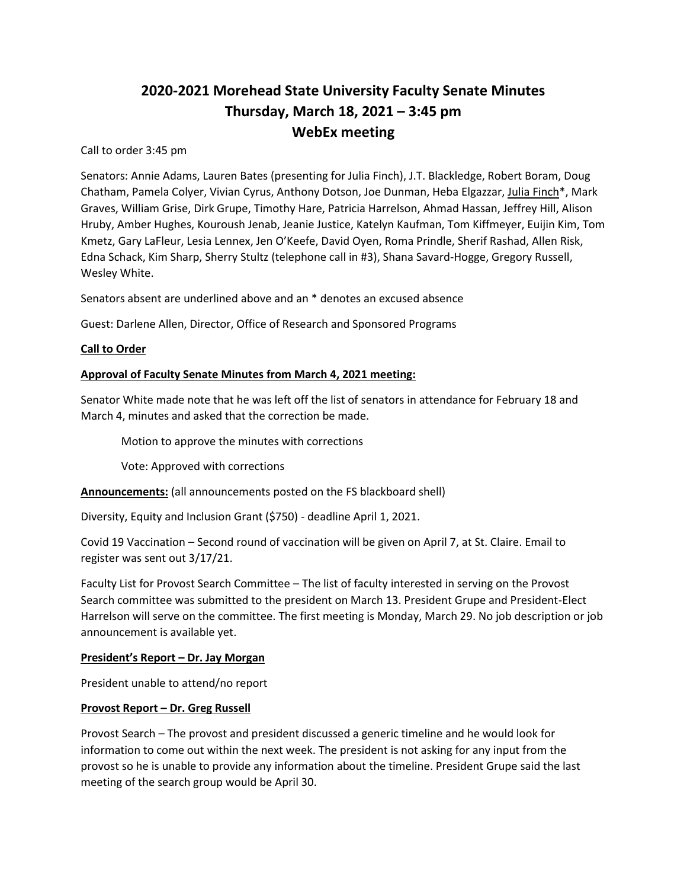# **2020-2021 Morehead State University Faculty Senate Minutes Thursday, March 18, 2021 – 3:45 pm WebEx meeting**

Call to order 3:45 pm

Senators: Annie Adams, Lauren Bates (presenting for Julia Finch), J.T. Blackledge, Robert Boram, Doug Chatham, Pamela Colyer, Vivian Cyrus, Anthony Dotson, Joe Dunman, Heba Elgazzar, Julia Finch\*, Mark Graves, William Grise, Dirk Grupe, Timothy Hare, Patricia Harrelson, Ahmad Hassan, Jeffrey Hill, Alison Hruby, Amber Hughes, Kouroush Jenab, Jeanie Justice, Katelyn Kaufman, Tom Kiffmeyer, Euijin Kim, Tom Kmetz, Gary LaFleur, Lesia Lennex, Jen O'Keefe, David Oyen, Roma Prindle, Sherif Rashad, Allen Risk, Edna Schack, Kim Sharp, Sherry Stultz (telephone call in #3), Shana Savard-Hogge, Gregory Russell, Wesley White.

Senators absent are underlined above and an \* denotes an excused absence

Guest: Darlene Allen, Director, Office of Research and Sponsored Programs

## **Call to Order**

## **Approval of Faculty Senate Minutes from March 4, 2021 meeting:**

Senator White made note that he was left off the list of senators in attendance for February 18 and March 4, minutes and asked that the correction be made.

Motion to approve the minutes with corrections

Vote: Approved with corrections

**Announcements:** (all announcements posted on the FS blackboard shell)

Diversity, Equity and Inclusion Grant (\$750) - deadline April 1, 2021.

Covid 19 Vaccination – Second round of vaccination will be given on April 7, at St. Claire. Email to register was sent out 3/17/21.

Faculty List for Provost Search Committee – The list of faculty interested in serving on the Provost Search committee was submitted to the president on March 13. President Grupe and President-Elect Harrelson will serve on the committee. The first meeting is Monday, March 29. No job description or job announcement is available yet.

## **President's Report – Dr. Jay Morgan**

President unable to attend/no report

## **Provost Report – Dr. Greg Russell**

Provost Search – The provost and president discussed a generic timeline and he would look for information to come out within the next week. The president is not asking for any input from the provost so he is unable to provide any information about the timeline. President Grupe said the last meeting of the search group would be April 30.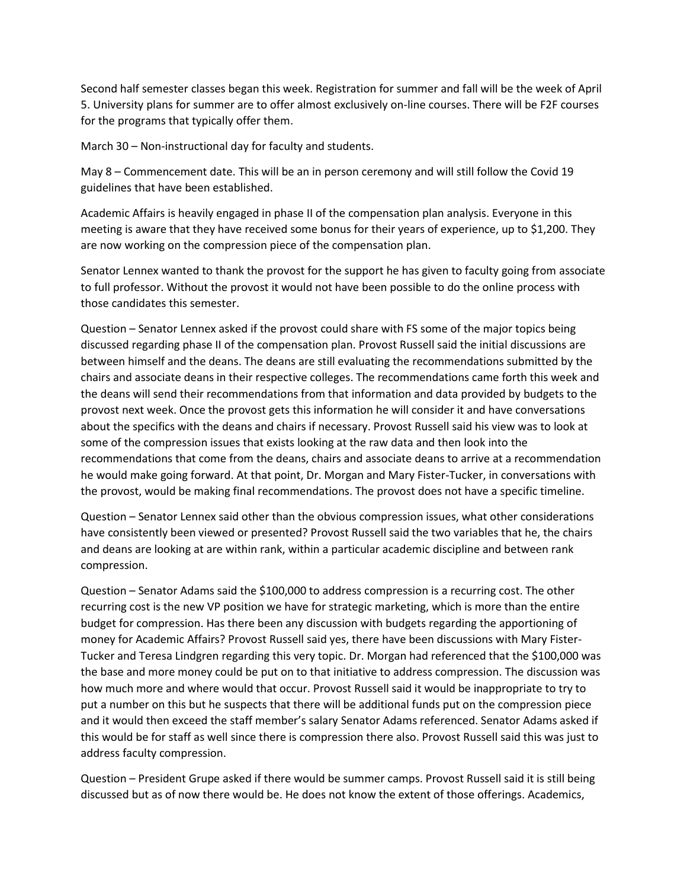Second half semester classes began this week. Registration for summer and fall will be the week of April 5. University plans for summer are to offer almost exclusively on-line courses. There will be F2F courses for the programs that typically offer them.

March 30 – Non-instructional day for faculty and students.

May 8 – Commencement date. This will be an in person ceremony and will still follow the Covid 19 guidelines that have been established.

Academic Affairs is heavily engaged in phase II of the compensation plan analysis. Everyone in this meeting is aware that they have received some bonus for their years of experience, up to \$1,200. They are now working on the compression piece of the compensation plan.

Senator Lennex wanted to thank the provost for the support he has given to faculty going from associate to full professor. Without the provost it would not have been possible to do the online process with those candidates this semester.

Question – Senator Lennex asked if the provost could share with FS some of the major topics being discussed regarding phase II of the compensation plan. Provost Russell said the initial discussions are between himself and the deans. The deans are still evaluating the recommendations submitted by the chairs and associate deans in their respective colleges. The recommendations came forth this week and the deans will send their recommendations from that information and data provided by budgets to the provost next week. Once the provost gets this information he will consider it and have conversations about the specifics with the deans and chairs if necessary. Provost Russell said his view was to look at some of the compression issues that exists looking at the raw data and then look into the recommendations that come from the deans, chairs and associate deans to arrive at a recommendation he would make going forward. At that point, Dr. Morgan and Mary Fister-Tucker, in conversations with the provost, would be making final recommendations. The provost does not have a specific timeline.

Question – Senator Lennex said other than the obvious compression issues, what other considerations have consistently been viewed or presented? Provost Russell said the two variables that he, the chairs and deans are looking at are within rank, within a particular academic discipline and between rank compression.

Question – Senator Adams said the \$100,000 to address compression is a recurring cost. The other recurring cost is the new VP position we have for strategic marketing, which is more than the entire budget for compression. Has there been any discussion with budgets regarding the apportioning of money for Academic Affairs? Provost Russell said yes, there have been discussions with Mary Fister-Tucker and Teresa Lindgren regarding this very topic. Dr. Morgan had referenced that the \$100,000 was the base and more money could be put on to that initiative to address compression. The discussion was how much more and where would that occur. Provost Russell said it would be inappropriate to try to put a number on this but he suspects that there will be additional funds put on the compression piece and it would then exceed the staff member's salary Senator Adams referenced. Senator Adams asked if this would be for staff as well since there is compression there also. Provost Russell said this was just to address faculty compression.

Question – President Grupe asked if there would be summer camps. Provost Russell said it is still being discussed but as of now there would be. He does not know the extent of those offerings. Academics,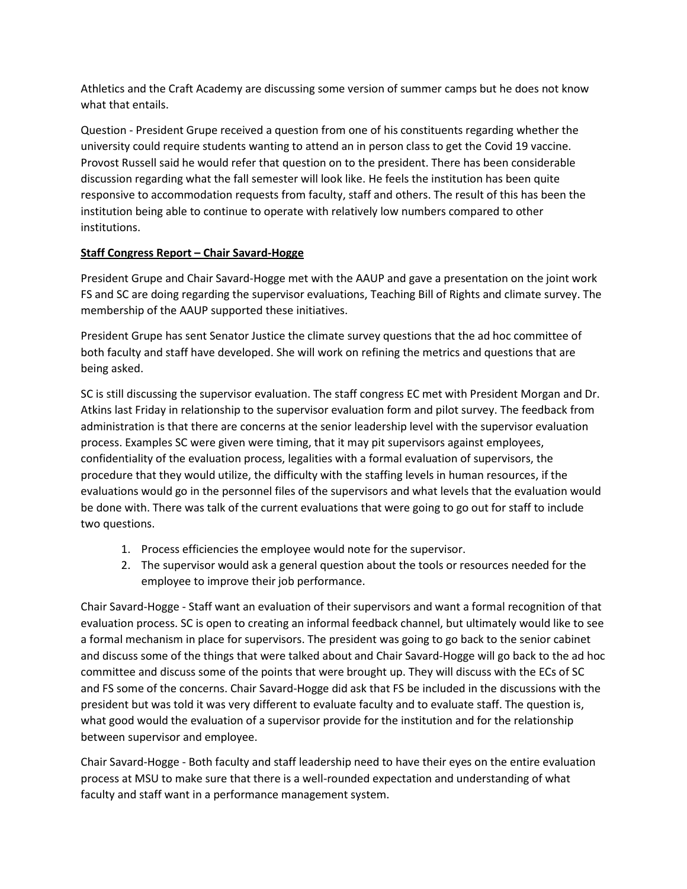Athletics and the Craft Academy are discussing some version of summer camps but he does not know what that entails.

Question - President Grupe received a question from one of his constituents regarding whether the university could require students wanting to attend an in person class to get the Covid 19 vaccine. Provost Russell said he would refer that question on to the president. There has been considerable discussion regarding what the fall semester will look like. He feels the institution has been quite responsive to accommodation requests from faculty, staff and others. The result of this has been the institution being able to continue to operate with relatively low numbers compared to other institutions.

## **Staff Congress Report – Chair Savard-Hogge**

President Grupe and Chair Savard-Hogge met with the AAUP and gave a presentation on the joint work FS and SC are doing regarding the supervisor evaluations, Teaching Bill of Rights and climate survey. The membership of the AAUP supported these initiatives.

President Grupe has sent Senator Justice the climate survey questions that the ad hoc committee of both faculty and staff have developed. She will work on refining the metrics and questions that are being asked.

SC is still discussing the supervisor evaluation. The staff congress EC met with President Morgan and Dr. Atkins last Friday in relationship to the supervisor evaluation form and pilot survey. The feedback from administration is that there are concerns at the senior leadership level with the supervisor evaluation process. Examples SC were given were timing, that it may pit supervisors against employees, confidentiality of the evaluation process, legalities with a formal evaluation of supervisors, the procedure that they would utilize, the difficulty with the staffing levels in human resources, if the evaluations would go in the personnel files of the supervisors and what levels that the evaluation would be done with. There was talk of the current evaluations that were going to go out for staff to include two questions.

- 1. Process efficiencies the employee would note for the supervisor.
- 2. The supervisor would ask a general question about the tools or resources needed for the employee to improve their job performance.

Chair Savard-Hogge - Staff want an evaluation of their supervisors and want a formal recognition of that evaluation process. SC is open to creating an informal feedback channel, but ultimately would like to see a formal mechanism in place for supervisors. The president was going to go back to the senior cabinet and discuss some of the things that were talked about and Chair Savard-Hogge will go back to the ad hoc committee and discuss some of the points that were brought up. They will discuss with the ECs of SC and FS some of the concerns. Chair Savard-Hogge did ask that FS be included in the discussions with the president but was told it was very different to evaluate faculty and to evaluate staff. The question is, what good would the evaluation of a supervisor provide for the institution and for the relationship between supervisor and employee.

Chair Savard-Hogge - Both faculty and staff leadership need to have their eyes on the entire evaluation process at MSU to make sure that there is a well-rounded expectation and understanding of what faculty and staff want in a performance management system.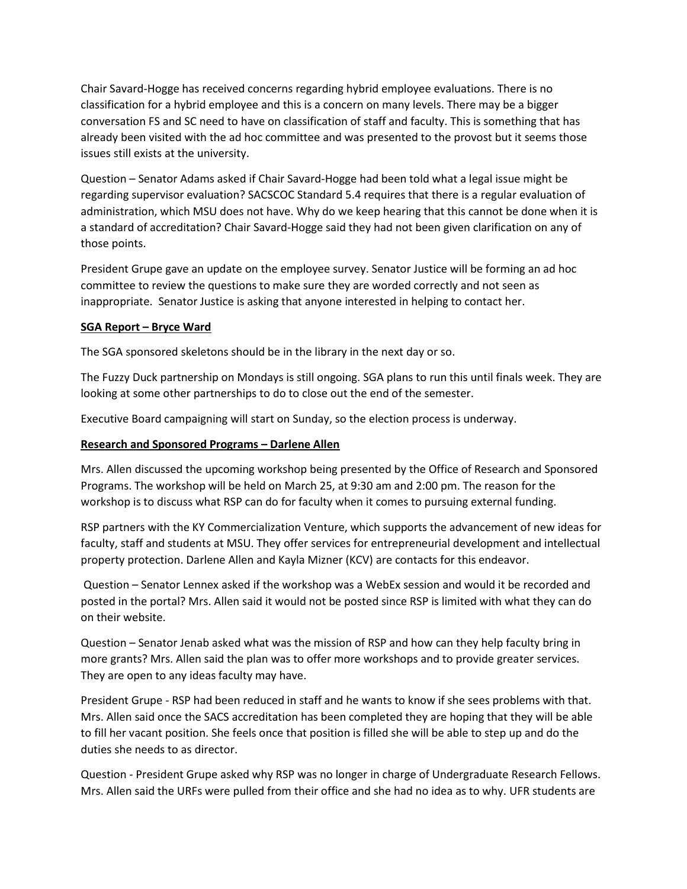Chair Savard-Hogge has received concerns regarding hybrid employee evaluations. There is no classification for a hybrid employee and this is a concern on many levels. There may be a bigger conversation FS and SC need to have on classification of staff and faculty. This is something that has already been visited with the ad hoc committee and was presented to the provost but it seems those issues still exists at the university.

Question – Senator Adams asked if Chair Savard-Hogge had been told what a legal issue might be regarding supervisor evaluation? SACSCOC Standard 5.4 requires that there is a regular evaluation of administration, which MSU does not have. Why do we keep hearing that this cannot be done when it is a standard of accreditation? Chair Savard-Hogge said they had not been given clarification on any of those points.

President Grupe gave an update on the employee survey. Senator Justice will be forming an ad hoc committee to review the questions to make sure they are worded correctly and not seen as inappropriate. Senator Justice is asking that anyone interested in helping to contact her.

## **SGA Report – Bryce Ward**

The SGA sponsored skeletons should be in the library in the next day or so.

The Fuzzy Duck partnership on Mondays is still ongoing. SGA plans to run this until finals week. They are looking at some other partnerships to do to close out the end of the semester.

Executive Board campaigning will start on Sunday, so the election process is underway.

## **Research and Sponsored Programs – Darlene Allen**

Mrs. Allen discussed the upcoming workshop being presented by the Office of Research and Sponsored Programs. The workshop will be held on March 25, at 9:30 am and 2:00 pm. The reason for the workshop is to discuss what RSP can do for faculty when it comes to pursuing external funding.

RSP partners with the KY Commercialization Venture, which supports the advancement of new ideas for faculty, staff and students at MSU. They offer services for entrepreneurial development and intellectual property protection. Darlene Allen and Kayla Mizner (KCV) are contacts for this endeavor.

Question – Senator Lennex asked if the workshop was a WebEx session and would it be recorded and posted in the portal? Mrs. Allen said it would not be posted since RSP is limited with what they can do on their website.

Question – Senator Jenab asked what was the mission of RSP and how can they help faculty bring in more grants? Mrs. Allen said the plan was to offer more workshops and to provide greater services. They are open to any ideas faculty may have.

President Grupe - RSP had been reduced in staff and he wants to know if she sees problems with that. Mrs. Allen said once the SACS accreditation has been completed they are hoping that they will be able to fill her vacant position. She feels once that position is filled she will be able to step up and do the duties she needs to as director.

Question - President Grupe asked why RSP was no longer in charge of Undergraduate Research Fellows. Mrs. Allen said the URFs were pulled from their office and she had no idea as to why. UFR students are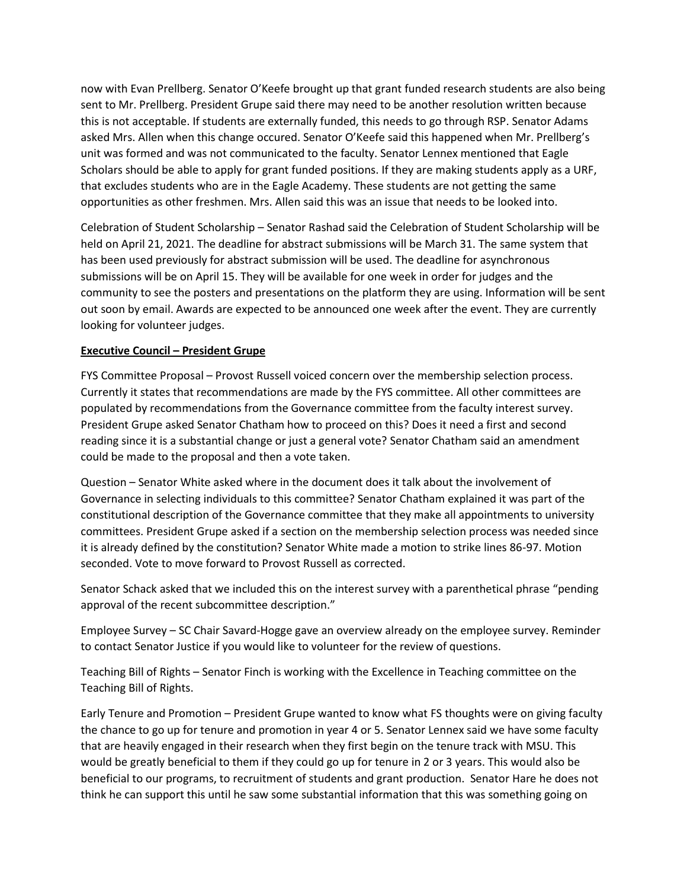now with Evan Prellberg. Senator O'Keefe brought up that grant funded research students are also being sent to Mr. Prellberg. President Grupe said there may need to be another resolution written because this is not acceptable. If students are externally funded, this needs to go through RSP. Senator Adams asked Mrs. Allen when this change occured. Senator O'Keefe said this happened when Mr. Prellberg's unit was formed and was not communicated to the faculty. Senator Lennex mentioned that Eagle Scholars should be able to apply for grant funded positions. If they are making students apply as a URF, that excludes students who are in the Eagle Academy. These students are not getting the same opportunities as other freshmen. Mrs. Allen said this was an issue that needs to be looked into.

Celebration of Student Scholarship – Senator Rashad said the Celebration of Student Scholarship will be held on April 21, 2021. The deadline for abstract submissions will be March 31. The same system that has been used previously for abstract submission will be used. The deadline for asynchronous submissions will be on April 15. They will be available for one week in order for judges and the community to see the posters and presentations on the platform they are using. Information will be sent out soon by email. Awards are expected to be announced one week after the event. They are currently looking for volunteer judges.

## **Executive Council – President Grupe**

FYS Committee Proposal – Provost Russell voiced concern over the membership selection process. Currently it states that recommendations are made by the FYS committee. All other committees are populated by recommendations from the Governance committee from the faculty interest survey. President Grupe asked Senator Chatham how to proceed on this? Does it need a first and second reading since it is a substantial change or just a general vote? Senator Chatham said an amendment could be made to the proposal and then a vote taken.

Question – Senator White asked where in the document does it talk about the involvement of Governance in selecting individuals to this committee? Senator Chatham explained it was part of the constitutional description of the Governance committee that they make all appointments to university committees. President Grupe asked if a section on the membership selection process was needed since it is already defined by the constitution? Senator White made a motion to strike lines 86-97. Motion seconded. Vote to move forward to Provost Russell as corrected.

Senator Schack asked that we included this on the interest survey with a parenthetical phrase "pending approval of the recent subcommittee description."

Employee Survey – SC Chair Savard-Hogge gave an overview already on the employee survey. Reminder to contact Senator Justice if you would like to volunteer for the review of questions.

Teaching Bill of Rights – Senator Finch is working with the Excellence in Teaching committee on the Teaching Bill of Rights.

Early Tenure and Promotion – President Grupe wanted to know what FS thoughts were on giving faculty the chance to go up for tenure and promotion in year 4 or 5. Senator Lennex said we have some faculty that are heavily engaged in their research when they first begin on the tenure track with MSU. This would be greatly beneficial to them if they could go up for tenure in 2 or 3 years. This would also be beneficial to our programs, to recruitment of students and grant production. Senator Hare he does not think he can support this until he saw some substantial information that this was something going on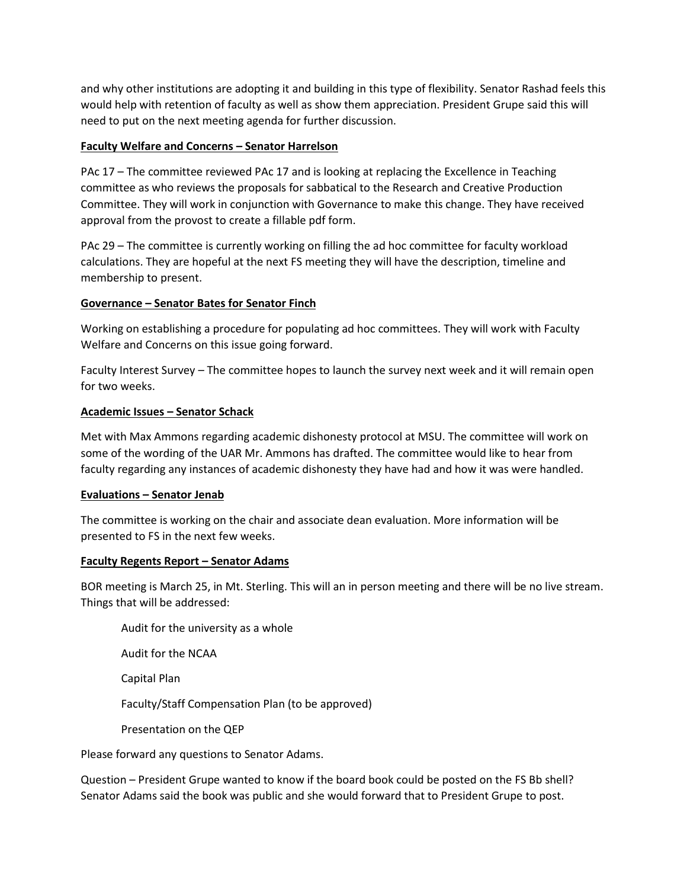and why other institutions are adopting it and building in this type of flexibility. Senator Rashad feels this would help with retention of faculty as well as show them appreciation. President Grupe said this will need to put on the next meeting agenda for further discussion.

## **Faculty Welfare and Concerns – Senator Harrelson**

PAc 17 – The committee reviewed PAc 17 and is looking at replacing the Excellence in Teaching committee as who reviews the proposals for sabbatical to the Research and Creative Production Committee. They will work in conjunction with Governance to make this change. They have received approval from the provost to create a fillable pdf form.

PAc 29 – The committee is currently working on filling the ad hoc committee for faculty workload calculations. They are hopeful at the next FS meeting they will have the description, timeline and membership to present.

## **Governance – Senator Bates for Senator Finch**

Working on establishing a procedure for populating ad hoc committees. They will work with Faculty Welfare and Concerns on this issue going forward.

Faculty Interest Survey – The committee hopes to launch the survey next week and it will remain open for two weeks.

## **Academic Issues – Senator Schack**

Met with Max Ammons regarding academic dishonesty protocol at MSU. The committee will work on some of the wording of the UAR Mr. Ammons has drafted. The committee would like to hear from faculty regarding any instances of academic dishonesty they have had and how it was were handled.

## **Evaluations – Senator Jenab**

The committee is working on the chair and associate dean evaluation. More information will be presented to FS in the next few weeks.

## **Faculty Regents Report – Senator Adams**

BOR meeting is March 25, in Mt. Sterling. This will an in person meeting and there will be no live stream. Things that will be addressed:

Audit for the university as a whole

Audit for the NCAA

Capital Plan

Faculty/Staff Compensation Plan (to be approved)

Presentation on the QEP

Please forward any questions to Senator Adams.

Question – President Grupe wanted to know if the board book could be posted on the FS Bb shell? Senator Adams said the book was public and she would forward that to President Grupe to post.